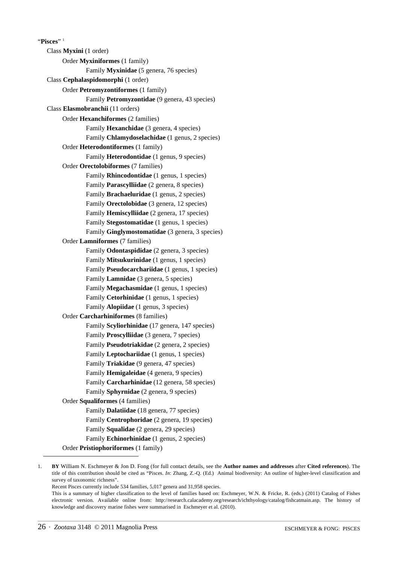"**Pisces**" 1 Class **Myxini** (1 order) Order **Myxiniformes** (1 family) Family **Myxinidae** (5 genera, 76 species) Class **Cephalaspidomorphi** (1 order) Order **Petromyzontiformes** (1 family) Family **Petromyzontidae** (9 genera, 43 species) Class **Elasmobranchii** (11 orders) Order **Hexanchiformes** (2 families) Family **Hexanchidae** (3 genera, 4 species) Family **Chlamydoselachidae** (1 genus, 2 species) Order **Heterodontiformes** (1 family) Family **Heterodontidae** (1 genus, 9 species) Order **Orectolobiformes** (7 families) Family **Rhincodontidae** (1 genus, 1 species) Family **Parascylliidae** (2 genera, 8 species) Family **Brachaeluridae** (1 genus, 2 species) Family **Orectolobidae** (3 genera, 12 species) Family **Hemiscylliidae** (2 genera, 17 species) Family **Stegostomatidae** (1 genus, 1 species) Family **Ginglymostomatidae** (3 genera, 3 species) Order **Lamniformes** (7 families) Family **Odontaspididae** (2 genera, 3 species) Family **Mitsukurinidae** (1 genus, 1 species) Family **Pseudocarchariidae** (1 genus, 1 species) Family **Lamnidae** (3 genera, 5 species) Family **Megachasmidae** (1 genus, 1 species) Family **Cetorhinidae** (1 genus, 1 species) Family **Alopiidae** (1 genus, 3 species) Order **Carcharhiniformes** (8 families) Family **Scyliorhinidae** (17 genera, 147 species) Family **Proscylliidae** (3 genera, 7 species) Family **Pseudotriakidae** (2 genera, 2 species) Family **Leptochariidae** (1 genus, 1 species) Family **Triakidae** (9 genera, 47 species) Family **Hemigaleidae** (4 genera, 9 species) Family **Carcharhinidae** (12 genera, 58 species) Family **Sphyrnidae** (2 genera, 9 species) Order **Squaliformes** (4 families) Family **Dalatiidae** (18 genera, 77 species) Family **Centrophoridae** (2 genera, 19 species) Family **Squalidae** (2 genera, 29 species) Family **Echinorhinidae** (1 genus, 2 species) Order **Pristiophoriformes** (1 family)

<sup>1.</sup> **BY** William N. Eschmeyer & Jon D. Fong (for full contact details, see the **Author names and addresses** after **Cited references**). The title of this contribution should be cited as "Pisces. *In*: Zhang, Z.-Q. (Ed.) Animal biodiversity: An outline of higher-level classification and survey of taxonomic richness".

Recent Pisces currently include 534 families, 5,017 genera and 31,958 species.

This is a summary of higher classification to the level of families based on: Eschmeyer, W.N. & Fricke, R. (eds.) (2011) Catalog of Fishes electronic version. Available online from: http://research.calacademy.org/research/ichthyology/catalog/fishcatmain.asp. The history of knowledge and discovery marine fishes were summarised in Eschmeyer et al. (2010).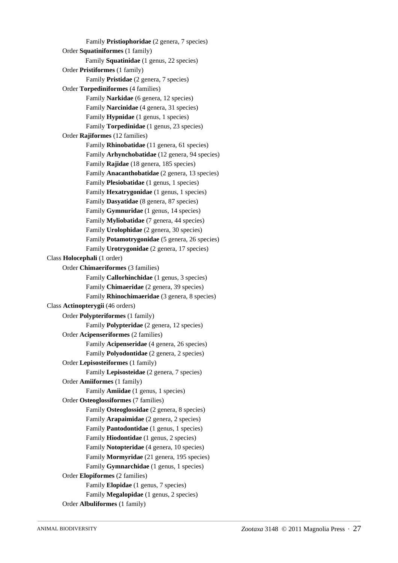Family **Pristiophoridae** (2 genera, 7 species) Order **Squatiniformes** (1 family) Family **Squatinidae** (1 genus, 22 species) Order **Pristiformes** (1 family) Family **Pristidae** (2 genera, 7 species) Order **Torpediniformes** (4 families) Family **Narkidae** (6 genera, 12 species) Family **Narcinidae** (4 genera, 31 species) Family **Hypnidae** (1 genus, 1 species) Family **Torpedinidae** (1 genus, 23 species) Order **Rajiformes** (12 families) Family **Rhinobatidae** (11 genera, 61 species) Family **Arhynchobatidae** (12 genera, 94 species) Family **Rajidae** (18 genera, 185 species) Family **Anacanthobatidae** (2 genera, 13 species) Family **Plesiobatidae** (1 genus, 1 species) Family **Hexatrygonidae** (1 genus, 1 species) Family **Dasyatidae** (8 genera, 87 species) Family **Gymnuridae** (1 genus, 14 species) Family **Myliobatidae** (7 genera, 44 species) Family **Urolophidae** (2 genera, 30 species) Family **Potamotrygonidae** (5 genera, 26 species) Family **Urotrygonidae** (2 genera, 17 species) Class **Holocephali** (1 order) Order **Chimaeriformes** (3 families) Family **Callorhinchidae** (1 genus, 3 species) Family **Chimaeridae** (2 genera, 39 species) Family **Rhinochimaeridae** (3 genera, 8 species) Class **Actinopterygii** (46 orders) Order **Polypteriformes** (1 family) Family **Polypteridae** (2 genera, 12 species) Order **Acipenseriformes** (2 families) Family **Acipenseridae** (4 genera, 26 species) Family **Polyodontidae** (2 genera, 2 species) Order **Lepisosteiformes** (1 family) Family **Lepisosteidae** (2 genera, 7 species) Order **Amiiformes** (1 family) Family **Amiidae** (1 genus, 1 species) Order **Osteoglossiformes** (7 families) Family **Osteoglossidae** (2 genera, 8 species) Family **Arapaimidae** (2 genera, 2 species) Family **Pantodontidae** (1 genus, 1 species) Family **Hiodontidae** (1 genus, 2 species) Family **Notopteridae** (4 genera, 10 species) Family **Mormyridae** (21 genera, 195 species) Family **Gymnarchidae** (1 genus, 1 species) Order **Elopiformes** (2 families) Family **Elopidae** (1 genus, 7 species) Family **Megalopidae** (1 genus, 2 species) Order **Albuliformes** (1 family)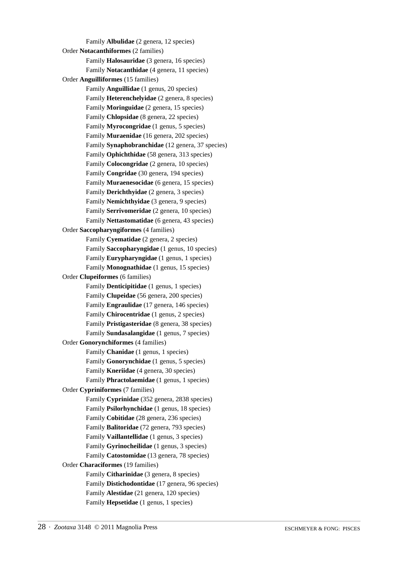Family **Albulidae** (2 genera, 12 species) Order **Notacanthiformes** (2 families) Family **Halosauridae** (3 genera, 16 species) Family **Notacanthidae** (4 genera, 11 species) Order **Anguilliformes** (15 families) Family **Anguillidae** (1 genus, 20 species) Family **Heterenchelyidae** (2 genera, 8 species) Family **Moringuidae** (2 genera, 15 species) Family **Chlopsidae** (8 genera, 22 species) Family **Myrocongridae** (1 genus, 5 species) Family **Muraenidae** (16 genera, 202 species) Family **Synaphobranchidae** (12 genera, 37 species) Family **Ophichthidae** (58 genera, 313 species) Family **Colocongridae** (2 genera, 10 species) Family **Congridae** (30 genera, 194 species) Family **Muraenesocidae** (6 genera, 15 species) Family **Derichthyidae** (2 genera, 3 species) Family **Nemichthyidae** (3 genera, 9 species) Family **Serrivomeridae** (2 genera, 10 species) Family **Nettastomatidae** (6 genera, 43 species) Order **Saccopharyngiformes** (4 families) Family **Cyematidae** (2 genera, 2 species) Family **Saccopharyngidae** (1 genus, 10 species) Family **Eurypharyngidae** (1 genus, 1 species) Family **Monognathidae** (1 genus, 15 species) Order **Clupeiformes** (6 families) Family **Denticipitidae** (1 genus, 1 species) Family **Clupeidae** (56 genera, 200 species) Family **Engraulidae** (17 genera, 146 species) Family **Chirocentridae** (1 genus, 2 species) Family **Pristigasteridae** (8 genera, 38 species) Family **Sundasalangidae** (1 genus, 7 species) Order **Gonorynchiformes** (4 families) Family **Chanidae** (1 genus, 1 species) Family **Gonorynchidae** (1 genus, 5 species) Family **Kneriidae** (4 genera, 30 species) Family **Phractolaemidae** (1 genus, 1 species) Order **Cypriniformes** (7 families) Family **Cyprinidae** (352 genera, 2838 species) Family **Psilorhynchidae** (1 genus, 18 species) Family **Cobitidae** (28 genera, 236 species) Family **Balitoridae** (72 genera, 793 species) Family **Vaillantellidae** (1 genus, 3 species) Family **Gyrinocheilidae** (1 genus, 3 species) Family **Catostomidae** (13 genera, 78 species) Order **Characiformes** (19 families) Family **Citharinidae** (3 genera, 8 species) Family **Distichodontidae** (17 genera, 96 species) Family **Alestidae** (21 genera, 120 species) Family **Hepsetidae** (1 genus, 1 species)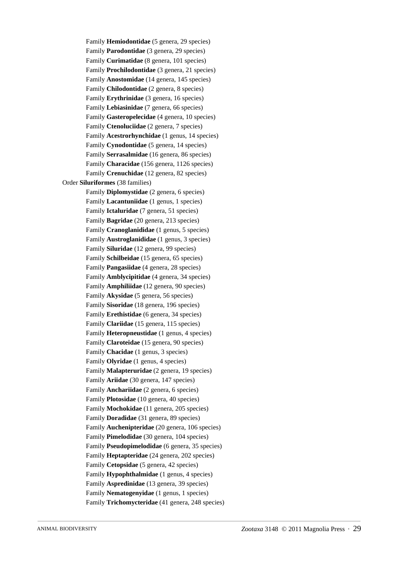Family **Hemiodontidae** (5 genera, 29 species) Family **Parodontidae** (3 genera, 29 species) Family **Curimatidae** (8 genera, 101 species) Family **Prochilodontidae** (3 genera, 21 species) Family **Anostomidae** (14 genera, 145 species) Family **Chilodontidae** (2 genera, 8 species) Family **Erythrinidae** (3 genera, 16 species) Family **Lebiasinidae** (7 genera, 66 species) Family **Gasteropelecidae** (4 genera, 10 species) Family **Ctenoluciidae** (2 genera, 7 species) Family **Acestrorhynchidae** (1 genus, 14 species) Family **Cynodontidae** (5 genera, 14 species) Family **Serrasalmidae** (16 genera, 86 species) Family **Characidae** (156 genera, 1126 species) Family **Crenuchidae** (12 genera, 82 species) Order **Siluriformes** (38 families) Family **Diplomystidae** (2 genera, 6 species) Family **Lacantuniidae** (1 genus, 1 species) Family **Ictaluridae** (7 genera, 51 species) Family **Bagridae** (20 genera, 213 species) Family **Cranoglanididae** (1 genus, 5 species) Family **Austroglanididae** (1 genus, 3 species) Family **Siluridae** (12 genera, 99 species) Family **Schilbeidae** (15 genera, 65 species) Family **Pangasiidae** (4 genera, 28 species) Family **Amblycipitidae** (4 genera, 34 species) Family **Amphiliidae** (12 genera, 90 species) Family **Akysidae** (5 genera, 56 species) Family **Sisoridae** (18 genera, 196 species) Family **Erethistidae** (6 genera, 34 species) Family **Clariidae** (15 genera, 115 species) Family **Heteropneustidae** (1 genus, 4 species) Family **Claroteidae** (15 genera, 90 species) Family **Chacidae** (1 genus, 3 species) Family **Olyridae** (1 genus, 4 species) Family **Malapteruridae** (2 genera, 19 species) Family **Ariidae** (30 genera, 147 species) Family **Anchariidae** (2 genera, 6 species) Family **Plotosidae** (10 genera, 40 species) Family **Mochokidae** (11 genera, 205 species) Family **Doradidae** (31 genera, 89 species) Family **Auchenipteridae** (20 genera, 106 species) Family **Pimelodidae** (30 genera, 104 species) Family **Pseudopimelodidae** (6 genera, 35 species) Family **Heptapteridae** (24 genera, 202 species) Family **Cetopsidae** (5 genera, 42 species) Family **Hypophthalmidae** (1 genus, 4 species) Family **Aspredinidae** (13 genera, 39 species) Family **Nematogenyidae** (1 genus, 1 species) Family **Trichomycteridae** (41 genera, 248 species)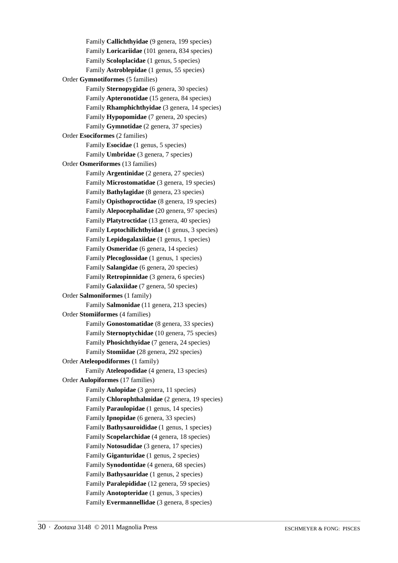Family **Callichthyidae** (9 genera, 199 species) Family **Loricariidae** (101 genera, 834 species) Family **Scoloplacidae** (1 genus, 5 species) Family **Astroblepidae** (1 genus, 55 species) Order **Gymnotiformes** (5 families) Family **Sternopygidae** (6 genera, 30 species) Family **Apteronotidae** (15 genera, 84 species) Family **Rhamphichthyidae** (3 genera, 14 species) Family **Hypopomidae** (7 genera, 20 species) Family **Gymnotidae** (2 genera, 37 species) Order **Esociformes** (2 families) Family **Esocidae** (1 genus, 5 species) Family **Umbridae** (3 genera, 7 species) Order **Osmeriformes** (13 families) Family **Argentinidae** (2 genera, 27 species) Family **Microstomatidae** (3 genera, 19 species) Family **Bathylagidae** (8 genera, 23 species) Family **Opisthoproctidae** (8 genera, 19 species) Family **Alepocephalidae** (20 genera, 97 species) Family **Platytroctidae** (13 genera, 40 species) Family **Leptochilichthyidae** (1 genus, 3 species) Family **Lepidogalaxiidae** (1 genus, 1 species) Family **Osmeridae** (6 genera, 14 species) Family **Plecoglossidae** (1 genus, 1 species) Family **Salangidae** (6 genera, 20 species) Family **Retropinnidae** (3 genera, 6 species) Family **Galaxiidae** (7 genera, 50 species) Order **Salmoniformes** (1 family) Family **Salmonidae** (11 genera, 213 species) Order **Stomiiformes** (4 families) Family **Gonostomatidae** (8 genera, 33 species) Family **Sternoptychidae** (10 genera, 75 species) Family **Phosichthyidae** (7 genera, 24 species) Family **Stomiidae** (28 genera, 292 species) Order **Ateleopodiformes** (1 family) Family **Ateleopodidae** (4 genera, 13 species) Order **Aulopiformes** (17 families) Family **Aulopidae** (3 genera, 11 species) Family **Chlorophthalmidae** (2 genera, 19 species) Family **Paraulopidae** (1 genus, 14 species) Family **Ipnopidae** (6 genera, 33 species) Family **Bathysauroididae** (1 genus, 1 species) Family **Scopelarchidae** (4 genera, 18 species) Family **Notosudidae** (3 genera, 17 species) Family **Giganturidae** (1 genus, 2 species) Family **Synodontidae** (4 genera, 68 species) Family **Bathysauridae** (1 genus, 2 species) Family **Paralepididae** (12 genera, 59 species) Family **Anotopteridae** (1 genus, 3 species) Family **Evermannellidae** (3 genera, 8 species)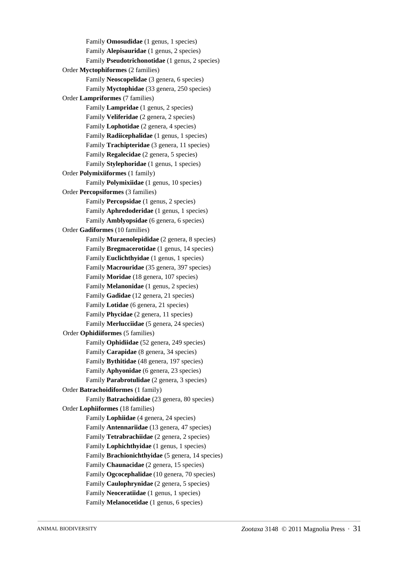Family **Omosudidae** (1 genus, 1 species) Family **Alepisauridae** (1 genus, 2 species) Family **Pseudotrichonotidae** (1 genus, 2 species) Order **Myctophiformes** (2 families) Family **Neoscopelidae** (3 genera, 6 species) Family **Myctophidae** (33 genera, 250 species) Order **Lampriformes** (7 families) Family **Lampridae** (1 genus, 2 species) Family **Veliferidae** (2 genera, 2 species) Family **Lophotidae** (2 genera, 4 species) Family **Radiicephalidae** (1 genus, 1 species) Family **Trachipteridae** (3 genera, 11 species) Family **Regalecidae** (2 genera, 5 species) Family **Stylephoridae** (1 genus, 1 species) Order **Polymixiiformes** (1 family) Family **Polymixiidae** (1 genus, 10 species) Order **Percopsiformes** (3 families) Family **Percopsidae** (1 genus, 2 species) Family **Aphredoderidae** (1 genus, 1 species) Family **Amblyopsidae** (6 genera, 6 species) Order **Gadiformes** (10 families) Family **Muraenolepididae** (2 genera, 8 species) Family **Bregmacerotidae** (1 genus, 14 species) Family **Euclichthyidae** (1 genus, 1 species) Family **Macrouridae** (35 genera, 397 species) Family **Moridae** (18 genera, 107 species) Family **Melanonidae** (1 genus, 2 species) Family **Gadidae** (12 genera, 21 species) Family **Lotidae** (6 genera, 21 species) Family **Phycidae** (2 genera, 11 species) Family **Merlucciidae** (5 genera, 24 species) Order **Ophidiiformes** (5 families) Family **Ophidiidae** (52 genera, 249 species) Family **Carapidae** (8 genera, 34 species) Family **Bythitidae** (48 genera, 197 species) Family **Aphyonidae** (6 genera, 23 species) Family **Parabrotulidae** (2 genera, 3 species) Order **Batrachoidiformes** (1 family) Family **Batrachoididae** (23 genera, 80 species) Order **Lophiiformes** (18 families) Family **Lophiidae** (4 genera, 24 species) Family **Antennariidae** (13 genera, 47 species) Family **Tetrabrachiidae** (2 genera, 2 species) Family **Lophichthyidae** (1 genus, 1 species) Family **Brachionichthyidae** (5 genera, 14 species) Family **Chaunacidae** (2 genera, 15 species) Family **Ogcocephalidae** (10 genera, 70 species) Family **Caulophrynidae** (2 genera, 5 species) Family **Neoceratiidae** (1 genus, 1 species) Family **Melanocetidae** (1 genus, 6 species)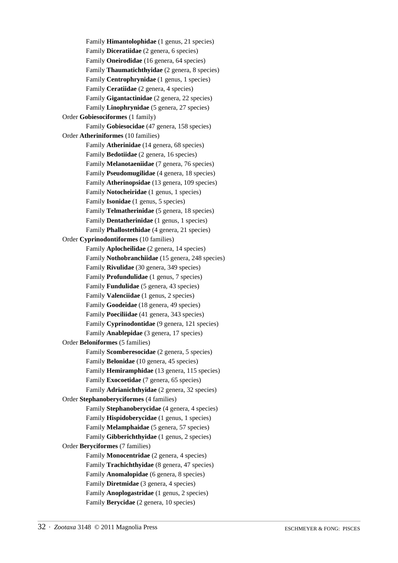Family **Himantolophidae** (1 genus, 21 species) Family **Diceratiidae** (2 genera, 6 species) Family **Oneirodidae** (16 genera, 64 species) Family **Thaumatichthyidae** (2 genera, 8 species) Family **Centrophrynidae** (1 genus, 1 species) Family **Ceratiidae** (2 genera, 4 species) Family **Gigantactinidae** (2 genera, 22 species) Family **Linophrynidae** (5 genera, 27 species) Order **Gobiesociformes** (1 family) Family **Gobiesocidae** (47 genera, 158 species) Order **Atheriniformes** (10 families) Family **Atherinidae** (14 genera, 68 species) Family **Bedotiidae** (2 genera, 16 species) Family **Melanotaeniidae** (7 genera, 76 species) Family **Pseudomugilidae** (4 genera, 18 species) Family **Atherinopsidae** (13 genera, 109 species) Family **Notocheiridae** (1 genus, 1 species) Family **Isonidae** (1 genus, 5 species) Family **Telmatherinidae** (5 genera, 18 species) Family **Dentatherinidae** (1 genus, 1 species) Family **Phallostethidae** (4 genera, 21 species) Order **Cyprinodontiformes** (10 families) Family **Aplocheilidae** (2 genera, 14 species) Family **Nothobranchiidae** (15 genera, 248 species) Family **Rivulidae** (30 genera, 349 species) Family **Profundulidae** (1 genus, 7 species) Family **Fundulidae** (5 genera, 43 species) Family **Valenciidae** (1 genus, 2 species) Family **Goodeidae** (18 genera, 49 species) Family **Poeciliidae** (41 genera, 343 species) Family **Cyprinodontidae** (9 genera, 121 species) Family **Anablepidae** (3 genera, 17 species) Order **Beloniformes** (5 families) Family **Scomberesocidae** (2 genera, 5 species) Family **Belonidae** (10 genera, 45 species) Family **Hemiramphidae** (13 genera, 115 species) Family **Exocoetidae** (7 genera, 65 species) Family **Adrianichthyidae** (2 genera, 32 species) Order **Stephanoberyciformes** (4 families) Family **Stephanoberycidae** (4 genera, 4 species) Family **Hispidoberycidae** (1 genus, 1 species) Family **Melamphaidae** (5 genera, 57 species) Family **Gibberichthyidae** (1 genus, 2 species) Order **Beryciformes** (7 families) Family **Monocentridae** (2 genera, 4 species) Family **Trachichthyidae** (8 genera, 47 species) Family **Anomalopidae** (6 genera, 8 species) Family **Diretmidae** (3 genera, 4 species) Family **Anoplogastridae** (1 genus, 2 species) Family **Berycidae** (2 genera, 10 species)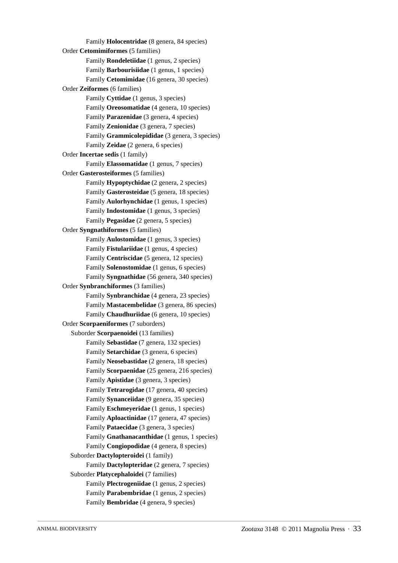Family **Holocentridae** (8 genera, 84 species) Order **Cetomimiformes** (5 families) Family **Rondeletiidae** (1 genus, 2 species) Family **Barbourisiidae** (1 genus, 1 species) Family **Cetomimidae** (16 genera, 30 species) Order **Zeiformes** (6 families) Family **Cyttidae** (1 genus, 3 species) Family **Oreosomatidae** (4 genera, 10 species) Family **Parazenidae** (3 genera, 4 species) Family **Zenionidae** (3 genera, 7 species) Family **Grammicolepididae** (3 genera, 3 species) Family **Zeidae** (2 genera, 6 species) Order **Incertae sedis** (1 family) Family **Elassomatidae** (1 genus, 7 species) Order **Gasterosteiformes** (5 families) Family **Hypoptychidae** (2 genera, 2 species) Family **Gasterosteidae** (5 genera, 18 species) Family **Aulorhynchidae** (1 genus, 1 species) Family **Indostomidae** (1 genus, 3 species) Family **Pegasidae** (2 genera, 5 species) Order **Syngnathiformes** (5 families) Family **Aulostomidae** (1 genus, 3 species) Family **Fistulariidae** (1 genus, 4 species) Family **Centriscidae** (5 genera, 12 species) Family **Solenostomidae** (1 genus, 6 species) Family **Syngnathidae** (56 genera, 340 species) Order **Synbranchiformes** (3 families) Family **Synbranchidae** (4 genera, 23 species) Family **Mastacembelidae** (3 genera, 86 species) Family **Chaudhuriidae** (6 genera, 10 species) Order **Scorpaeniformes** (7 suborders) Suborder **Scorpaenoidei** (13 families) Family **Sebastidae** (7 genera, 132 species) Family **Setarchidae** (3 genera, 6 species) Family **Neosebastidae** (2 genera, 18 species) Family **Scorpaenidae** (25 genera, 216 species) Family **Apistidae** (3 genera, 3 species) Family **Tetrarogidae** (17 genera, 40 species) Family **Synanceiidae** (9 genera, 35 species) Family **Eschmeyeridae** (1 genus, 1 species) Family **Aploactinidae** (17 genera, 47 species) Family **Pataecidae** (3 genera, 3 species) Family **Gnathanacanthidae** (1 genus, 1 species) Family **Congiopodidae** (4 genera, 8 species) Suborder **Dactylopteroidei** (1 family) Family **Dactylopteridae** (2 genera, 7 species) Suborder **Platycephaloidei** (7 families) Family **Plectrogeniidae** (1 genus, 2 species) Family **Parabembridae** (1 genus, 2 species) Family **Bembridae** (4 genera, 9 species)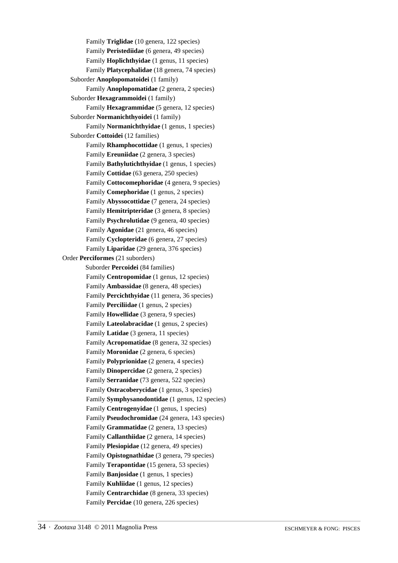Family **Triglidae** (10 genera, 122 species) Family **Peristediidae** (6 genera, 49 species) Family **Hoplichthyidae** (1 genus, 11 species) Family **Platycephalidae** (18 genera, 74 species) Suborder **Anoplopomatoidei** (1 family) Family **Anoplopomatidae** (2 genera, 2 species) Suborder **Hexagrammoidei** (1 family) Family **Hexagrammidae** (5 genera, 12 species) Suborder **Normanichthyoidei** (1 family) Family **Normanichthyidae** (1 genus, 1 species) Suborder **Cottoidei** (12 families) Family **Rhamphocottidae** (1 genus, 1 species) Family **Ereuniidae** (2 genera, 3 species) Family **Bathylutichthyidae** (1 genus, 1 species) Family **Cottidae** (63 genera, 250 species) Family **Cottocomephoridae** (4 genera, 9 species) Family **Comephoridae** (1 genus, 2 species) Family **Abyssocottidae** (7 genera, 24 species) Family **Hemitripteridae** (3 genera, 8 species) Family **Psychrolutidae** (9 genera, 40 species) Family **Agonidae** (21 genera, 46 species) Family **Cyclopteridae** (6 genera, 27 species) Family **Liparidae** (29 genera, 376 species) Order **Perciformes** (21 suborders) Suborder **Percoidei** (84 families) Family **Centropomidae** (1 genus, 12 species) Family **Ambassidae** (8 genera, 48 species) Family **Percichthyidae** (11 genera, 36 species) Family **Perciliidae** (1 genus, 2 species) Family **Howellidae** (3 genera, 9 species) Family **Lateolabracidae** (1 genus, 2 species) Family **Latidae** (3 genera, 11 species) Family **Acropomatidae** (8 genera, 32 species) Family **Moronidae** (2 genera, 6 species) Family **Polyprionidae** (2 genera, 4 species) Family **Dinopercidae** (2 genera, 2 species) Family **Serranidae** (73 genera, 522 species) Family **Ostracoberycidae** (1 genus, 3 species) Family **Symphysanodontidae** (1 genus, 12 species) Family **Centrogenyidae** (1 genus, 1 species) Family **Pseudochromidae** (24 genera, 143 species) Family **Grammatidae** (2 genera, 13 species) Family **Callanthiidae** (2 genera, 14 species) Family **Plesiopidae** (12 genera, 49 species) Family **Opistognathidae** (3 genera, 79 species) Family **Terapontidae** (15 genera, 53 species) Family **Banjosidae** (1 genus, 1 species) Family **Kuhliidae** (1 genus, 12 species) Family **Centrarchidae** (8 genera, 33 species) Family **Percidae** (10 genera, 226 species)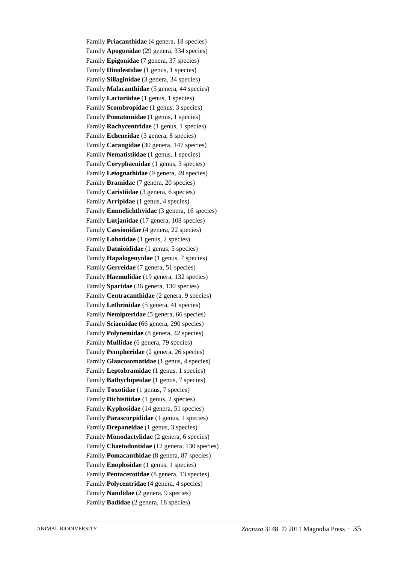Family **Priacanthidae** (4 genera, 18 species) Family **Apogonidae** (29 genera, 334 species) Family **Epigonidae** (7 genera, 37 species) Family **Dinolestidae** (1 genus, 1 species) Family **Sillaginidae** (3 genera, 34 species) Family **Malacanthidae** (5 genera, 44 species) Family **Lactariidae** (1 genus, 1 species) Family **Scombropidae** (1 genus, 3 species) Family **Pomatomidae** (1 genus, 1 species) Family **Rachycentridae** (1 genus, 1 species) Family **Echeneidae** (3 genera, 8 species) Family **Carangidae** (30 genera, 147 species) Family **Nematistiidae** (1 genus, 1 species) Family **Coryphaenidae** (1 genus, 3 species) Family **Leiognathidae** (9 genera, 49 species) Family **Bramidae** (7 genera, 20 species) Family **Caristiidae** (3 genera, 6 species) Family **Arripidae** (1 genus, 4 species) Family **Emmelichthyidae** (3 genera, 16 species) Family **Lutjanidae** (17 genera, 108 species) Family **Caesionidae** (4 genera, 22 species) Family **Lobotidae** (1 genus, 2 species) Family **Datnioididae** (1 genus, 5 species) Family **Hapalogenyidae** (1 genus, 7 species) Family **Gerreidae** (7 genera, 51 species) Family **Haemulidae** (19 genera, 132 species) Family **Sparidae** (36 genera, 130 species) Family **Centracanthidae** (2 genera, 9 species) Family **Lethrinidae** (5 genera, 41 species) Family **Nemipteridae** (5 genera, 66 species) Family **Sciaenidae** (66 genera, 290 species) Family **Polynemidae** (8 genera, 42 species) Family **Mullidae** (6 genera, 79 species) Family **Pempheridae** (2 genera, 26 species) Family **Glaucosomatidae** (1 genus, 4 species) Family **Leptobramidae** (1 genus, 1 species) Family **Bathyclupeidae** (1 genus, 7 species) Family **Toxotidae** (1 genus, 7 species) Family **Dichistiidae** (1 genus, 2 species) Family **Kyphosidae** (14 genera, 51 species) Family **Parascorpididae** (1 genus, 1 species) Family **Drepaneidae** (1 genus, 3 species) Family **Monodactylidae** (2 genera, 6 species) Family **Chaetodontidae** (12 genera, 130 species) Family **Pomacanthidae** (8 genera, 87 species) Family **Enoplosidae** (1 genus, 1 species) Family **Pentacerotidae** (8 genera, 13 species) Family **Polycentridae** (4 genera, 4 species) Family **Nandidae** (2 genera, 9 species) Family **Badidae** (2 genera, 18 species)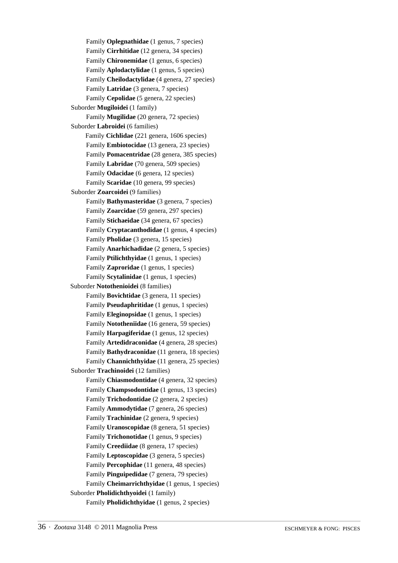Family **Oplegnathidae** (1 genus, 7 species) Family **Cirrhitidae** (12 genera, 34 species) Family **Chironemidae** (1 genus, 6 species) Family **Aplodactylidae** (1 genus, 5 species) Family **Cheilodactylidae** (4 genera, 27 species) Family **Latridae** (3 genera, 7 species) Family **Cepolidae** (5 genera, 22 species) Suborder **Mugiloidei** (1 family) Family **Mugilidae** (20 genera, 72 species) Suborder **Labroidei** (6 families) Family **Cichlidae** (221 genera, 1606 species) Family **Embiotocidae** (13 genera, 23 species) Family **Pomacentridae** (28 genera, 385 species) Family **Labridae** (70 genera, 509 species) Family **Odacidae** (6 genera, 12 species) Family **Scaridae** (10 genera, 99 species) Suborder **Zoarcoidei** (9 families) Family **Bathymasteridae** (3 genera, 7 species) Family **Zoarcidae** (59 genera, 297 species) Family **Stichaeidae** (34 genera, 67 species) Family **Cryptacanthodidae** (1 genus, 4 species) Family **Pholidae** (3 genera, 15 species) Family **Anarhichadidae** (2 genera, 5 species) Family **Ptilichthyidae** (1 genus, 1 species) Family **Zaproridae** (1 genus, 1 species) Family **Scytalinidae** (1 genus, 1 species) Suborder **Notothenioidei** (8 families) Family **Bovichtidae** (3 genera, 11 species) Family **Pseudaphritidae** (1 genus, 1 species) Family **Eleginopsidae** (1 genus, 1 species) Family **Nototheniidae** (16 genera, 59 species) Family **Harpagiferidae** (1 genus, 12 species) Family **Artedidraconidae** (4 genera, 28 species) Family **Bathydraconidae** (11 genera, 18 species) Family **Channichthyidae** (11 genera, 25 species) Suborder **Trachinoidei** (12 families) Family **Chiasmodontidae** (4 genera, 32 species) Family **Champsodontidae** (1 genus, 13 species) Family **Trichodontidae** (2 genera, 2 species) Family **Ammodytidae** (7 genera, 26 species) Family **Trachinidae** (2 genera, 9 species) Family **Uranoscopidae** (8 genera, 51 species) Family **Trichonotidae** (1 genus, 9 species) Family **Creediidae** (8 genera, 17 species) Family **Leptoscopidae** (3 genera, 5 species) Family **Percophidae** (11 genera, 48 species) Family **Pinguipedidae** (7 genera, 79 species) Family **Cheimarrichthyidae** (1 genus, 1 species) Suborder **Pholidichthyoidei** (1 family) Family **Pholidichthyidae** (1 genus, 2 species)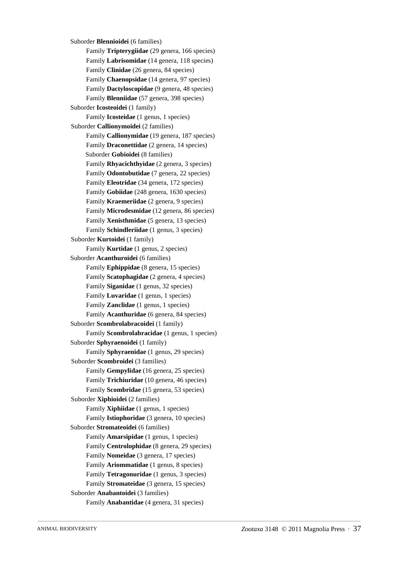Suborder **Blennioidei** (6 families) Family **Tripterygiidae** (29 genera, 166 species) Family **Labrisomidae** (14 genera, 118 species) Family **Clinidae** (26 genera, 84 species) Family **Chaenopsidae** (14 genera, 97 species) Family **Dactyloscopidae** (9 genera, 48 species) Family **Blenniidae** (57 genera, 398 species) Suborder **Icosteoidei** (1 family) Family **Icosteidae** (1 genus, 1 species) Suborder **Callionymoidei** (2 families) Family **Callionymidae** (19 genera, 187 species) Family **Draconettidae** (2 genera, 14 species) Suborder **Gobioidei** (8 families) Family **Rhyacichthyidae** (2 genera, 3 species) Family **Odontobutidae** (7 genera, 22 species) Family **Eleotridae** (34 genera, 172 species) Family **Gobiidae** (248 genera, 1630 species) Family **Kraemeriidae** (2 genera, 9 species) Family **Microdesmidae** (12 genera, 86 species) Family **Xenisthmidae** (5 genera, 13 species) Family **Schindleriidae** (1 genus, 3 species) Suborder **Kurtoidei** (1 family) Family **Kurtidae** (1 genus, 2 species) Suborder **Acanthuroidei** (6 families) Family **Ephippidae** (8 genera, 15 species) Family **Scatophagidae** (2 genera, 4 species) Family **Siganidae** (1 genus, 32 species) Family **Luvaridae** (1 genus, 1 species) Family **Zanclidae** (1 genus, 1 species) Family **Acanthuridae** (6 genera, 84 species) Suborder **Scombrolabracoidei** (1 family) Family **Scombrolabracidae** (1 genus, 1 species) Suborder **Sphyraenoidei** (1 family) Family **Sphyraenidae** (1 genus, 29 species) Suborder **Scombroidei** (3 families) Family **Gempylidae** (16 genera, 25 species) Family **Trichiuridae** (10 genera, 46 species) Family **Scombridae** (15 genera, 53 species) Suborder **Xiphioidei** (2 families) Family **Xiphiidae** (1 genus, 1 species) Family **Istiophoridae** (3 genera, 10 species) Suborder **Stromateoidei** (6 families) Family **Amarsipidae** (1 genus, 1 species) Family **Centrolophidae** (8 genera, 29 species) Family **Nomeidae** (3 genera, 17 species) Family **Ariommatidae** (1 genus, 8 species) Family **Tetragonuridae** (1 genus, 3 species) Family **Stromateidae** (3 genera, 15 species) Suborder **Anabantoidei** (3 families) Family **Anabantidae** (4 genera, 31 species)